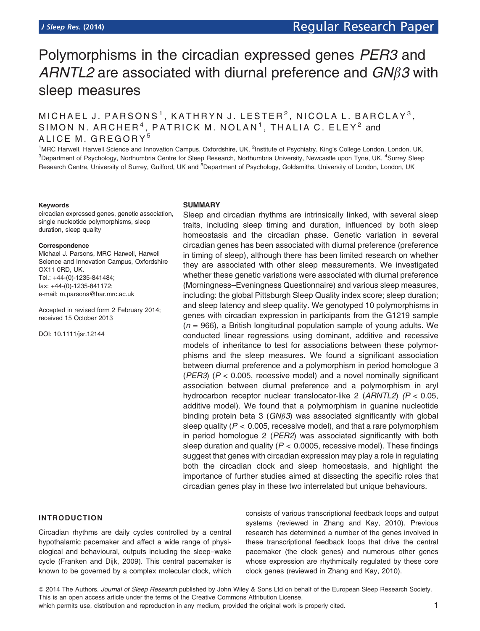# Polymorphisms in the circadian expressed genes PER3 and ARNTL2 are associated with diurnal preference and  $GN\beta3$  with sleep measures

# MICHAEL J. PARSONS<sup>1</sup>, KATHRYN J. LESTER<sup>2</sup>, NICOLA L. BARCLAY<sup>3</sup>, SIMON N. ARCHER<sup>4</sup>, PATRICK M. NOLAN<sup>1</sup>, THALIA C. ELEY<sup>2</sup> and ALICE M. GREGORY<sup>5</sup>

<sup>1</sup>MRC Harwell, Harwell Science and Innovation Campus, Oxfordshire, UK, <sup>2</sup>Institute of Psychiatry, King's College London, London, UK, <sup>3</sup>Department of Psychology, Northumbria Centre for Sleep Research, Northumbria University, Newcastle upon Tyne, UK, <sup>4</sup>Surrey Sleep Research Centre, University of Surrey, Guilford, UK and <sup>5</sup>Department of Psychology, Goldsmiths, University of London, London, UK

#### Keywords

circadian expressed genes, genetic association, single nucleotide polymorphisms, sleep duration, sleep quality

#### Correspondence

Michael J. Parsons, MRC Harwell, Harwell Science and Innovation Campus, Oxfordshire OX11 0RD, UK. Tel.: +44-(0)-1235-841484; fax: +44-(0)-1235-841172; e-mail: m.parsons@har.mrc.ac.uk

Accepted in revised form 2 February 2014; received 15 October 2013

DOI: 10.1111/jsr.12144

#### SUMMARY

Sleep and circadian rhythms are intrinsically linked, with several sleep traits, including sleep timing and duration, influenced by both sleep homeostasis and the circadian phase. Genetic variation in several circadian genes has been associated with diurnal preference (preference in timing of sleep), although there has been limited research on whether they are associated with other sleep measurements. We investigated whether these genetic variations were associated with diurnal preference (Morningness–Eveningness Questionnaire) and various sleep measures, including: the global Pittsburgh Sleep Quality index score; sleep duration; and sleep latency and sleep quality. We genotyped 10 polymorphisms in genes with circadian expression in participants from the G1219 sample  $(n = 966)$ , a British longitudinal population sample of young adults. We conducted linear regressions using dominant, additive and recessive models of inheritance to test for associations between these polymorphisms and the sleep measures. We found a significant association between diurnal preference and a polymorphism in period homologue 3 ( $PER3$ ) ( $P < 0.005$ , recessive model) and a novel nominally significant association between diurnal preference and a polymorphism in aryl hydrocarbon receptor nuclear translocator-like 2 (ARNTL2) (P < 0.05, additive model). We found that a polymorphism in guanine nucleotide binding protein beta 3 ( $GN\beta3$ ) was associated significantly with global sleep quality ( $P < 0.005$ , recessive model), and that a rare polymorphism in period homologue 2 (PER2) was associated significantly with both sleep duration and quality ( $P < 0.0005$ , recessive model). These findings suggest that genes with circadian expression may play a role in regulating both the circadian clock and sleep homeostasis, and highlight the importance of further studies aimed at dissecting the specific roles that circadian genes play in these two interrelated but unique behaviours.

# INTRODUCTION

Circadian rhythms are daily cycles controlled by a central hypothalamic pacemaker and affect a wide range of physiological and behavioural, outputs including the sleep–wake cycle (Franken and Dijk, 2009). This central pacemaker is known to be governed by a complex molecular clock, which consists of various transcriptional feedback loops and output systems (reviewed in Zhang and Kay, 2010). Previous research has determined a number of the genes involved in these transcriptional feedback loops that drive the central pacemaker (the clock genes) and numerous other genes whose expression are rhythmically regulated by these core clock genes (reviewed in Zhang and Kay, 2010).

© 2014 The Authors. Journal of Sleep Research published by John Wiley & Sons Ltd on behalf of the European Sleep Research Society. This is an open access article under the terms of the Creative Commons Attribution License, which permits use, distribution and reproduction in any medium, provided the original work is properly cited. 1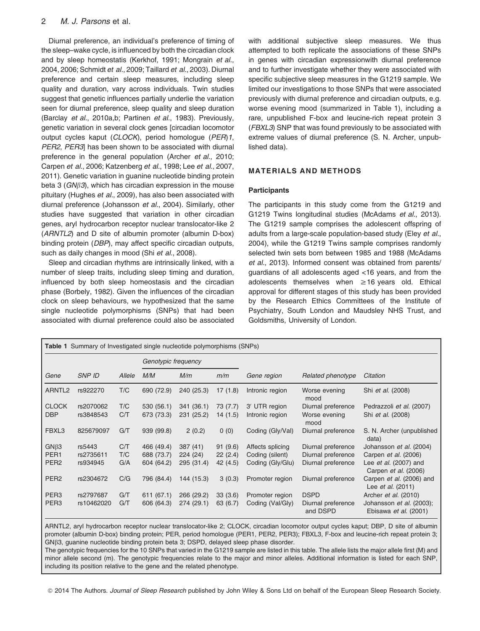# 2 M. J. Parsons et al.

Diurnal preference, an individual's preference of timing of the sleep–wake cycle, is influenced by both the circadian clock and by sleep homeostatis (Kerkhof, 1991; Mongrain et al., 2004, 2006; Schmidt et al., 2009; Taillard et al., 2003). Diurnal preference and certain sleep measures, including sleep quality and duration, vary across individuals. Twin studies suggest that genetic influences partially underlie the variation seen for diurnal preference, sleep quality and sleep duration (Barclay et al., 2010a.b: Partinen et al., 1983). Previously, genetic variation in several clock genes [circadian locomotor output cycles kaput (CLOCK), period homologue (PER)1, PER2, PER3 has been shown to be associated with diurnal preference in the general population (Archer et al., 2010; Carpen et al., 2006; Katzenberg et al., 1998; Lee et al., 2007, 2011). Genetic variation in guanine nucleotide binding protein beta 3 ( $GN\beta3$ ), which has circadian expression in the mouse pituitary (Hughes et al., 2009), has also been associated with diurnal preference (Johansson et al., 2004). Similarly, other studies have suggested that variation in other circadian genes, aryl hydrocarbon receptor nuclear translocator-like 2 (ARNTL2) and D site of albumin promoter (albumin D-box) binding protein (DBP), may affect specific circadian outputs, such as daily changes in mood (Shi et al., 2008).

Sleep and circadian rhythms are intrinsically linked, with a number of sleep traits, including sleep timing and duration, influenced by both sleep homeostasis and the circadian phase (Borbely, 1982). Given the influences of the circadian clock on sleep behaviours, we hypothesized that the same single nucleotide polymorphisms (SNPs) that had been associated with diurnal preference could also be associated with additional subjective sleep measures. We thus attempted to both replicate the associations of these SNPs in genes with circadian expressionwith diurnal preference and to further investigate whether they were associated with specific subjective sleep measures in the G1219 sample. We limited our investigations to those SNPs that were associated previously with diurnal preference and circadian outputs, e.g. worse evening mood (summarized in Table 1), including a rare, unpublished F-box and leucine-rich repeat protein 3 (FBXL3) SNP that was found previously to be associated with extreme values of diurnal preference (S. N. Archer, unpublished data).

# MATERIALS AND METHODS

#### **Participants**

The participants in this study come from the G1219 and G1219 Twins longitudinal studies (McAdams et al., 2013). The G1219 sample comprises the adolescent offspring of adults from a large-scale population-based study (Eley et al., 2004), while the G1219 Twins sample comprises randomly selected twin sets born between 1985 and 1988 (McAdams et al., 2013). Informed consent was obtained from parents/ guardians of all adolescents aged <16 years, and from the adolescents themselves when ≥16 years old. Ethical approval for different stages of this study has been provided by the Research Ethics Committees of the Institute of Psychiatry, South London and Maudsley NHS Trust, and Goldsmiths, University of London.

| <b>Table 1</b> Summary of Investigated single nucleotide polymorphisms (SNPs) |               |        |                     |            |          |                  |                                |                                                      |
|-------------------------------------------------------------------------------|---------------|--------|---------------------|------------|----------|------------------|--------------------------------|------------------------------------------------------|
|                                                                               |               |        | Genotypic frequency |            |          |                  |                                |                                                      |
| Gene                                                                          | <b>SNP ID</b> | Allele | M/M                 | M/m        | m/m      | Gene region      | Related phenotype              | Citation                                             |
| ARNTL <sub>2</sub>                                                            | rs922270      | T/C    | 690 (72.9)          | 240 (25.3) | 17(1.8)  | Intronic region  | Worse evening<br>mood          | Shi et al. (2008)                                    |
| <b>CLOCK</b>                                                                  | rs2070062     | T/C    | 530 (56.1)          | 341 (36.1) | 73 (7.7) | 3' UTR region    | Diurnal preference             | Pedrazzoli et al. (2007)                             |
| <b>DBP</b>                                                                    | rs3848543     | C/T    | 673 (73.3)          | 231 (25.2) | 14(1.5)  | Intronic region  | Worse evening<br>mood          | Shi et al. (2008)                                    |
| FBXL3                                                                         | 825679097     | G/T    | 939 (99.8)          | 2(0.2)     | 0(0)     | Coding (Gly/Val) | Diurnal preference             | S. N. Archer (unpublished<br>data)                   |
| $GN\beta3$                                                                    | rs5443        | C/T    | 466 (49.4)          | 387 (41)   | 91(9.6)  | Affects splicing | Diurnal preference             | Johansson et al. (2004)                              |
| PER <sub>1</sub>                                                              | rs2735611     | T/C    | 688 (73.7)          | 224 (24)   | 22(2.4)  | Coding (silent)  | Diurnal preference             | Carpen et al. (2006)                                 |
| PER <sub>2</sub>                                                              | rs934945      | G/A    | 604 (64.2)          | 295 (31.4) | 42 (4.5) | Coding (Gly/Glu) | Diurnal preference             | Lee et al. (2007) and<br>Carpen et al. (2006)        |
| PER <sub>2</sub>                                                              | rs2304672     | C/G    | 796 (84.4)          | 144 (15.3) | 3(0.3)   | Promoter region  | Diurnal preference             | Carpen et al. (2006) and<br>Lee <i>et al.</i> (2011) |
| PER <sub>3</sub>                                                              | rs2797687     | G/T    | 611 (67.1)          | 266 (29.2) | 33(3.6)  | Promoter region  | <b>DSPD</b>                    | Archer et al. (2010)                                 |
| PER <sub>3</sub>                                                              | rs10462020    | G/T    | 606 (64.3)          | 274 (29.1) | 63 (6.7) | Coding (Val/Gly) | Diurnal preference<br>and DSPD | Johansson et al. (2003);<br>Ebisawa et al. (2001)    |

ARNTL2, aryl hydrocarbon receptor nuclear translocator-like 2; CLOCK, circadian locomotor output cycles kaput; DBP, D site of albumin promoter (albumin D-box) binding protein; PER, period homologue (PER1, PER2, PER3); FBXL3, F-box and leucine-rich repeat protein 3; GNB3, guanine nucleotide binding protein beta 3; DSPD, delayed sleep phase disorder.

The genotypic frequencies for the 10 SNPs that varied in the G1219 sample are listed in this table. The allele lists the major allele first (M) and minor allele second (m). The genotypic frequencies relate to the major and minor alleles. Additional information is listed for each SNP, including its position relative to the gene and the related phenotype.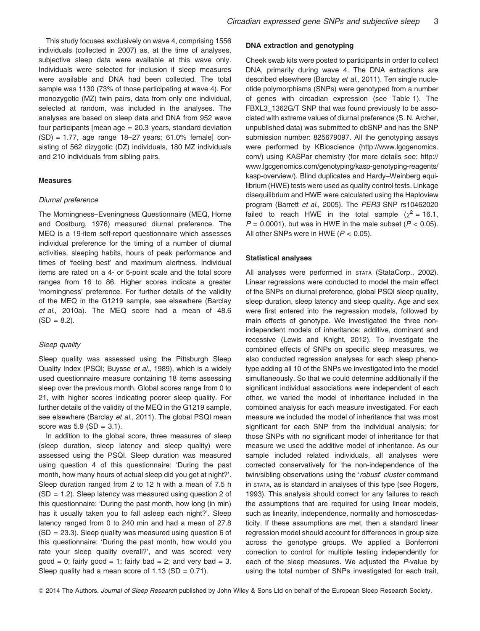This study focuses exclusively on wave 4, comprising 1556 individuals (collected in 2007) as, at the time of analyses, subjective sleep data were available at this wave only. Individuals were selected for inclusion if sleep measures were available and DNA had been collected. The total sample was 1130 (73% of those participating at wave 4). For monozygotic (MZ) twin pairs, data from only one individual, selected at random, was included in the analyses. The analyses are based on sleep data and DNA from 952 wave four participants [mean age = 20.3 years, standard deviation (SD) = 1.77, age range 18–27 years; 61.0% female] consisting of 562 dizygotic (DZ) individuals, 180 MZ individuals and 210 individuals from sibling pairs.

#### Measures

#### Diurnal preference

The Morningness–Eveningness Questionnaire (MEQ, Horne and Oostburg, 1976) measured diurnal preference. The MEQ is a 19-item self-report questionnaire which assesses individual preference for the timing of a number of diurnal activities, sleeping habits, hours of peak performance and times of 'feeling best' and maximum alertness. Individual items are rated on a 4- or 5-point scale and the total score ranges from 16 to 86. Higher scores indicate a greater 'morningness' preference. For further details of the validity of the MEQ in the G1219 sample, see elsewhere (Barclay et al., 2010a). The MEQ score had a mean of 48.6  $(SD = 8.2)$ .

#### Sleep quality

Sleep quality was assessed using the Pittsburgh Sleep Quality Index (PSQI; Buysse et al., 1989), which is a widely used questionnaire measure containing 18 items assessing sleep over the previous month. Global scores range from 0 to 21, with higher scores indicating poorer sleep quality. For further details of the validity of the MEQ in the G1219 sample, see elsewhere (Barclay et al., 2011). The global PSQI mean score was  $5.9$  (SD = 3.1).

In addition to the global score, three measures of sleep (sleep duration, sleep latency and sleep quality) were assessed using the PSQI. Sleep duration was measured using question 4 of this questionnaire: 'During the past month, how many hours of actual sleep did you get at night?'. Sleep duration ranged from 2 to 12 h with a mean of 7.5 h (SD = 1.2). Sleep latency was measured using question 2 of this questionnaire: 'During the past month, how long (in min) has it usually taken you to fall asleep each night?'. Sleep latency ranged from 0 to 240 min and had a mean of 27.8 (SD = 23.3). Sleep quality was measured using question 6 of this questionnaire: 'During the past month, how would you rate your sleep quality overall?', and was scored: very  $qood = 0$ ; fairly  $qood = 1$ ; fairly bad = 2; and very bad = 3. Sleep quality had a mean score of  $1.13$  (SD = 0.71).

#### DNA extraction and genotyping

Cheek swab kits were posted to participants in order to collect DNA, primarily during wave 4. The DNA extractions are described elsewhere (Barclay et al., 2011). Ten single nucleotide polymorphisms (SNPs) were genotyped from a number of genes with circadian expression (see Table 1). The FBXL3\_1362G/T SNP that was found previously to be associated with extreme values of diurnal preference (S. N. Archer, unpublished data) was submitted to dbSNP and has the SNP submission number: 825679097. All the genotyping assays were performed by KBioscience (http://www.lgcgenomics. com/) using KASPar chemistry (for more details see: http:// www.lgcgenomics.com/genotyping/kasp-genotyping-reagents/ kasp-overview/). Blind duplicates and Hardy–Weinberg equilibrium (HWE) tests were used as quality control tests. Linkage disequilibrium and HWE were calculated using the Haploview program (Barrett et al., 2005). The PER3 SNP rs10462020 failed to reach HWE in the total sample  $(\chi^2 = 16.1,$  $P = 0.0001$ , but was in HWE in the male subset ( $P < 0.05$ ). All other SNPs were in HWE ( $P < 0.05$ ).

#### Statistical analyses

All analyses were performed in STATA (StataCorp., 2002). Linear regressions were conducted to model the main effect of the SNPs on diurnal preference, global PSQI sleep quality, sleep duration, sleep latency and sleep quality. Age and sex were first entered into the regression models, followed by main effects of genotype. We investigated the three nonindependent models of inheritance: additive, dominant and recessive (Lewis and Knight, 2012). To investigate the combined effects of SNPs on specific sleep measures, we also conducted regression analyses for each sleep phenotype adding all 10 of the SNPs we investigated into the model simultaneously. So that we could determine additionally if the significant individual associations were independent of each other, we varied the model of inheritance included in the combined analysis for each measure investigated. For each measure we included the model of inheritance that was most significant for each SNP from the individual analysis; for those SNPs with no significant model of inheritance for that measure we used the additive model of inheritance. As our sample included related individuals, all analyses were corrected conservatively for the non-independence of the twin/sibling observations using the 'robust' cluster command in STATA, as is standard in analyses of this type (see Rogers, 1993). This analysis should correct for any failures to reach the assumptions that are required for using linear models, such as linearity, independence, normality and homoscedasticity. If these assumptions are met, then a standard linear regression model should account for differences in group size across the genotype groups. We applied a Bonferroni correction to control for multiple testing independently for each of the sleep measures. We adjusted the P-value by using the total number of SNPs investigated for each trait,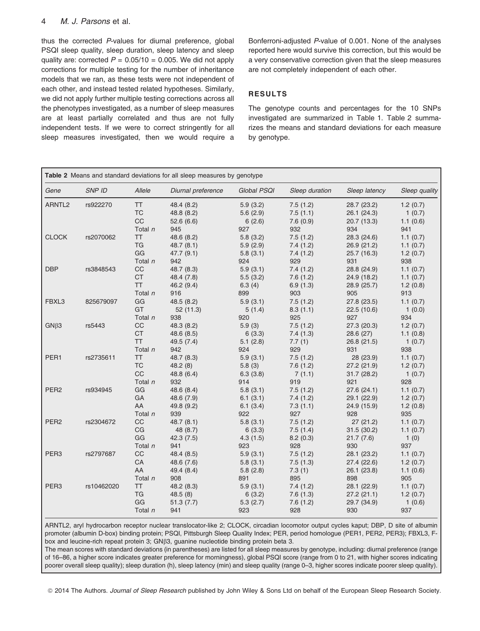# 4 M. J. Parsons et al.

thus the corrected P-values for diurnal preference, global PSQI sleep quality, sleep duration, sleep latency and sleep quality are: corrected  $P = 0.05/10 = 0.005$ . We did not apply corrections for multiple testing for the number of inheritance models that we ran, as these tests were not independent of each other, and instead tested related hypotheses. Similarly, we did not apply further multiple testing corrections across all the phenotypes investigated, as a number of sleep measures are at least partially correlated and thus are not fully independent tests. If we were to correct stringently for all sleep measures investigated, then we would require a Bonferroni-adjusted P-value of 0.001. None of the analyses reported here would survive this correction, but this would be a very conservative correction given that the sleep measures are not completely independent of each other.

# RESULTS

The genotype counts and percentages for the 10 SNPs investigated are summarized in Table 1. Table 2 summarizes the means and standard deviations for each measure by genotype.

| Table 2 Means and standard deviations for all sleep measures by genotype |            |           |                    |             |                |               |               |  |
|--------------------------------------------------------------------------|------------|-----------|--------------------|-------------|----------------|---------------|---------------|--|
| Gene                                                                     | SNP ID     | Allele    | Diurnal preference | Global PSQI | Sleep duration | Sleep latency | Sleep quality |  |
| ARNTL <sub>2</sub>                                                       | rs922270   | <b>TT</b> | 48.4 (8.2)         | 5.9(3.2)    | 7.5(1.2)       | 28.7 (23.2)   | 1.2(0.7)      |  |
|                                                                          |            | <b>TC</b> | 48.8 (8.2)         | 5.6(2.9)    | 7.5(1.1)       | 26.1 (24.3)   | 1(0.7)        |  |
|                                                                          |            | CC        | 52.6(6.6)          | 6(2.6)      | 7.6(0.9)       | 20.7 (13.3)   | 1.1(0.6)      |  |
|                                                                          |            | Total $n$ | 945                | 927         | 932            | 934           | 941           |  |
| <b>CLOCK</b>                                                             | rs2070062  | <b>TT</b> | 48.6 (8.2)         | 5.8(3.2)    | 7.5(1.2)       | 28.3 (24.6)   | 1.1(0.7)      |  |
|                                                                          |            | <b>TG</b> | 48.7(8.1)          | 5.9(2.9)    | 7.4(1.2)       | 26.9 (21.2)   | 1.1(0.7)      |  |
|                                                                          |            | GG        | 47.7(9.1)          | 5.8(3.1)    | 7.4(1.2)       | 25.7 (16.3)   | 1.2(0.7)      |  |
|                                                                          |            | Total n   | 942                | 924         | 929            | 931           | 938           |  |
| <b>DBP</b>                                                               | rs3848543  | CC        | 48.7 (8.3)         | 5.9(3.1)    | 7.4(1.2)       | 28.8 (24.9)   | 1.1(0.7)      |  |
|                                                                          |            | <b>CT</b> | 48.4 (7.8)         | 5.5(3.2)    | 7.6(1.2)       | 24.9 (18.2)   | 1.1(0.7)      |  |
|                                                                          |            | <b>TT</b> | 46.2(9.4)          | 6.3(4)      | 6.9(1.3)       | 28.9 (25.7)   | 1.2(0.8)      |  |
|                                                                          |            | Total $n$ | 916                | 899         | 903            | 905           | 913           |  |
| FBXL3                                                                    | 825679097  | GG        | 48.5 (8.2)         | 5.9(3.1)    | 7.5(1.2)       | 27.8 (23.5)   | 1.1(0.7)      |  |
|                                                                          |            | GT        | 52(11.3)           | 5(1.4)      | 8.3(1.1)       | 22.5(10.6)    | 1(0.0)        |  |
|                                                                          |            | Total $n$ | 938                | 920         | 925            | 927           | 934           |  |
| $GN\beta3$                                                               | rs5443     | CC        | 48.3 (8.2)         | 5.9(3)      | 7.5(1.2)       | 27.3 (20.3)   | 1.2(0.7)      |  |
|                                                                          |            | <b>CT</b> | 48.6(8.5)          | 6(3.3)      | 7.4(1.3)       | 28.6(27)      | 1.1(0.8)      |  |
|                                                                          |            | <b>TT</b> | 49.5 (7.4)         | 5.1(2.8)    | 7.7(1)         | 26.8 (21.5)   | 1(0.7)        |  |
|                                                                          |            | Total n   | 942                | 924         | 929            | 931           | 938           |  |
| PER1                                                                     | rs2735611  | <b>TT</b> | 48.7 (8.3)         | 5.9(3.1)    | 7.5(1.2)       | 28 (23.9)     | 1.1(0.7)      |  |
|                                                                          |            | <b>TC</b> | 48.2(8)            | 5.8(3)      | 7.6(1.2)       | 27.2 (21.9)   | 1.2(0.7)      |  |
|                                                                          |            | CC        | 48.8(6.4)          | 6.3(3.8)    | 7(1.1)         | 31.7(28.2)    | 1(0.7)        |  |
|                                                                          |            | Total n   | 932                | 914         | 919            | 921           | 928           |  |
| PER <sub>2</sub>                                                         | rs934945   | GG        | 48.6 (8.4)         | 5.8(3.1)    | 7.5(1.2)       | 27.6(24.1)    | 1.1(0.7)      |  |
|                                                                          |            | GA        | 48.6 (7.9)         | 6.1(3.1)    | 7.4(1.2)       | 29.1 (22.9)   | 1.2(0.7)      |  |
|                                                                          |            | AA        | 49.8 (9.2)         | 6.1(3.4)    | 7.3(1.1)       | 24.9 (15.9)   | 1.2(0.8)      |  |
|                                                                          |            | Total $n$ | 939                | 922         | 927            | 928           | 935           |  |
| PER <sub>2</sub>                                                         | rs2304672  | CC        | 48.7(8.1)          | 5.8(3.1)    | 7.5(1.2)       | 27(21.2)      | 1.1(0.7)      |  |
|                                                                          |            | CG        | 48(8.7)            | 6(3.3)      | 7.5(1.4)       | 31.5(30.2)    | 1.1(0.7)      |  |
|                                                                          |            | GG        | 42.3(7.5)          | 4.3(1.5)    | 8.2(0.3)       | 21.7(7.6)     | 1(0)          |  |
|                                                                          |            | Total $n$ | 941                | 923         | 928            | 930           | 937           |  |
| PER <sub>3</sub>                                                         | rs2797687  | <b>CC</b> | 48.4 (8.5)         | 5.9(3.1)    | 7.5(1.2)       | 28.1 (23.2)   | 1.1(0.7)      |  |
|                                                                          |            | CA        | 48.6 (7.6)         | 5.8(3.1)    | 7.5(1.3)       | 27.4(22.6)    | 1.2(0.7)      |  |
|                                                                          |            | AA        | 49.4 (8.4)         | 5.8(2.8)    | 7.3(1)         | 26.1 (23.8)   | 1.1(0.6)      |  |
|                                                                          |            | Total n   | 908                | 891         | 895            | 898           | 905           |  |
| PER <sub>3</sub>                                                         | rs10462020 | TT        | 48.2 (8.3)         | 5.9(3.1)    | 7.4(1.2)       | 28.1 (22.9)   | 1.1(0.7)      |  |
|                                                                          |            | <b>TG</b> | 48.5(8)            | 6(3.2)      | 7.6(1.3)       | 27.2(21.1)    | 1.2(0.7)      |  |
|                                                                          |            | GG        | 51.3(7.7)          | 5.3(2.7)    | 7.6(1.2)       | 29.7 (34.9)   | 1(0.6)        |  |
|                                                                          |            | Total $n$ | 941                | 923         | 928            | 930           | 937           |  |

ARNTL2, aryl hydrocarbon receptor nuclear translocator-like 2; CLOCK, circadian locomotor output cycles kaput; DBP, D site of albumin promoter (albumin D-box) binding protein; PSQI, Pittsburgh Sleep Quality Index; PER, period homologue (PER1, PER2, PER3); FBXL3, Fbox and leucine-rich repeat protein 3; GNß3, guanine nucleotide binding protein beta 3.

The mean scores with standard deviations (in parentheses) are listed for all sleep measures by genotype, including: diurnal preference (range of 16–86, a higher score indicates greater preference for morningness), global PSQI score (range from 0 to 21, with higher scores indicating poorer overall sleep quality); sleep duration (h), sleep latency (min) and sleep quality (range 0–3, higher scores indicate poorer sleep quality).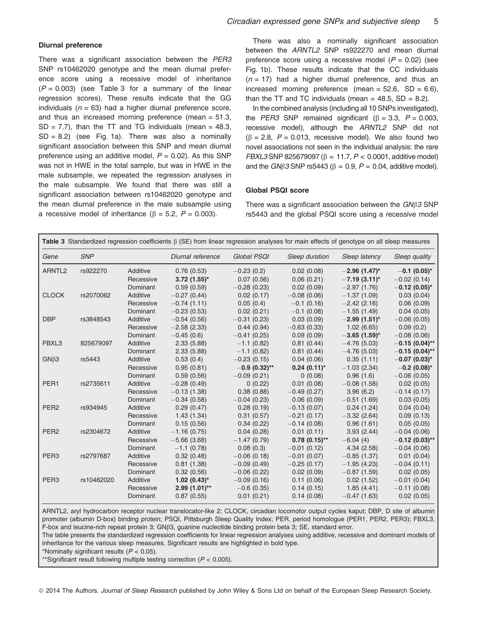#### Diurnal preference

There was a significant association between the PER3 SNP rs10462020 genotype and the mean diurnal preference score using a recessive model of inheritance  $(P = 0.003)$  (see Table 3 for a summary of the linear regression scores). These results indicate that the GG individuals ( $n = 63$ ) had a higher diurnal preference score, and thus an increased morning preference (mean = 51.3,  $SD = 7.7$ ), than the TT and TG individuals (mean = 48.3,  $SD = 8.2$ ) (see Fig. 1a). There was also a nominally significant association between this SNP and mean diurnal preference using an additive model,  $P = 0.02$ ). As this SNP was not in HWE in the total sample, but was in HWE in the male subsample, we repeated the regression analyses in the male subsample. We found that there was still a significant association between rs10462020 genotype and the mean diurnal preference in the male subsample using a recessive model of inheritance ( $\beta$  = 5.2, P = 0.003).

There was also a nominally significant association between the ARNTL2 SNP rs922270 and mean diurnal preference score using a recessive model  $(P = 0.02)$  (see Fig. 1b). These results indicate that the CC individuals  $(n = 17)$  had a higher diurnal preference, and thus an increased morning preference (mean =  $52.6$ , SD =  $6.6$ ), than the TT and TC individuals (mean  $=$  48.5, SD  $=$  8.2).

In the combined analysis (including all 10 SNPs investigated), the *PER3* SNP remained significant  $(6 = 3.3, P = 0.003, P)$ recessive model), although the ARNTL2 SNP did not  $(\beta = 2.8, P = 0.013,$  recessive model). We also found two novel associations not seen in the individual analysis: the rare  $FBXL3$  SNP 825679097 ( $\beta = 11.7, P < 0.0001$ , additive model) and the GN $\beta$ 3 SNP rs5443 ( $\beta$  = 0.9, P = 0.04, additive model).

# Global PSQI score

There was a significant association between the  $GN\beta 3$  SNP rs5443 and the global PSQI score using a recessive model

| Table 3 Standardized regression coefficients $\beta$ (SE) from linear regression analyses for main effects of genotype on all sleep measures |            |           |                   |                 |                  |                             |                   |
|----------------------------------------------------------------------------------------------------------------------------------------------|------------|-----------|-------------------|-----------------|------------------|-----------------------------|-------------------|
| Gene                                                                                                                                         | <b>SNP</b> |           | Diurnal reference | Global PSQI     | Sleep duration   | Sleep latency               | Sleep quality     |
| ARNTL <sub>2</sub>                                                                                                                           | rs922270   | Additive  | 0.76(0.53)        | $-0.23(0.2)$    | 0.02(0.08)       | $-2.96$ (1.47) <sup>*</sup> | $-0.1(0.05)^{*}$  |
|                                                                                                                                              |            | Recessive | $3.72$ (1.55)*    | 0.07(0.56)      | 0.06(0.21)       | $-7.19(3.11)^{*}$           | $-0.02(0.14)$     |
|                                                                                                                                              |            | Dominant  | 0.59(0.59)        | $-0.28(0.23)$   | 0.02(0.09)       | $-2.97(1.76)$               | $-0.12(0.05)^{*}$ |
| <b>CLOCK</b>                                                                                                                                 | rs2070062  | Additive  | $-0.27(0.44)$     | 0.02(0.17)      | $-0.08(0.06)$    | $-1.37(1.09)$               | 0.03(0.04)        |
|                                                                                                                                              |            | Recessive | $-0.74(1.11)$     | 0.05(0.4)       | $-0.1(0.16)$     | $-2.42(2.16)$               | 0.06(0.09)        |
|                                                                                                                                              |            | Dominant  | $-0.23(0.53)$     | 0.02(0.21)      | $-0.1$ (0.08)    | $-1.55(1.49)$               | 0.04(0.05)        |
| <b>DBP</b>                                                                                                                                   | rs3848543  | Additive  | $-0.54(0.56)$     | $-0.31(0.23)$   | 0.03(0.09)       | $-2.99(1.51)^{*}$           | $-0.06(0.05)$     |
|                                                                                                                                              |            | Recessive | $-2.58(2.33)$     | 0.44(0.94)      | $-0.63(0.33)$    | 1.02(6.65)                  | 0.09(0.2)         |
|                                                                                                                                              |            | Dominant  | $-0.45(0.6)$      | $-0.41(0.25)$   | 0.09(0.09)       | $-3.65$ (1.59)*             | $-0.08(0.06)$     |
| FBXL3                                                                                                                                        | 825679097  | Additive  | 2.33(5.88)        | $-1.1(0.82)$    | 0.81(0.44)       | $-4.76(5.03)$               | $-0.15(0.04)$ **  |
|                                                                                                                                              |            | Dominant  | 2.33(5.88)        | $-1.1(0.82)$    | 0.81(0.44)       | $-4.76(5.03)$               | $-0.15(0.04)$ **  |
| $GN\beta3$                                                                                                                                   | rs5443     | Additive  | 0.53(0.4)         | $-0.23(0.15)$   | 0.04(0.06)       | 0.35(1.11)                  | $-0.07(0.03)$ *   |
|                                                                                                                                              |            | Recessive | 0.95(0.81)        | $-0.9(0.32)$ ** | $0.24(0.11)^{*}$ | $-1.03(2.34)$               | $-0.2$ (0.08)*    |
|                                                                                                                                              |            | Dominant  | 0.59(0.56)        | $-0.09(0.21)$   | 0(0.08)          | 0.96(1.6)                   | $-0.06(0.05)$     |
| PER <sub>1</sub>                                                                                                                             | rs2735611  | Additive  | $-0.28(0.49)$     | 0(0.22)         | 0.01(0.08)       | $-0.08(1.58)$               | 0.02(0.05)        |
|                                                                                                                                              |            | Recessive | $-0.13(1.38)$     | 0.38(0.88)      | $-0.49(0.27)$    | 3.96(6.2)                   | $-0.14(0.17)$     |
|                                                                                                                                              |            | Dominant  | $-0.34(0.58)$     | $-0.04(0.23)$   | 0.06(0.09)       | $-0.51(1.69)$               | 0.03(0.05)        |
| PER <sub>2</sub>                                                                                                                             | rs934945   | Additive  | 0.29(0.47)        | 0.28(0.19)      | $-0.13(0.07)$    | 0.24(1.24)                  | 0.04(0.04)        |
|                                                                                                                                              |            | Recessive | 1.43(1.34)        | 0.31(0.57)      | $-0.21(0.17)$    | $-3.32(2.64)$               | 0.09(0.13)        |
|                                                                                                                                              |            | Dominant  | 0.15(0.56)        | 0.34(0.22)      | $-0.14(0.08)$    | 0.96(1.61)                  | 0.05(0.05)        |
| PER <sub>2</sub>                                                                                                                             | rs2304672  | Additive  | $-1.16(0.75)$     | 0.04(0.28)      | 0.01(0.11)       | 3.93(2.44)                  | $-0.04(0.06)$     |
|                                                                                                                                              |            | Recessive | $-5.66(3.68)$     | $-1.47(0.79)$   | $0.78(0.15)$ **  | $-6.04(4)$                  | $-0.12(0.03)$ **  |
|                                                                                                                                              |            | Dominant  | $-1.1$ (0.78)     | 0.08(0.3)       | $-0.01(0.12)$    | 4.34(2.58)                  | $-0.04(0.06)$     |
| PER <sub>3</sub>                                                                                                                             | rs2797687  | Additive  | 0.32(0.48)        | $-0.06(0.18)$   | $-0.01(0.07)$    | $-0.85(1.37)$               | 0.01(0.04)        |
|                                                                                                                                              |            | Recessive | 0.81(1.38)        | $-0.09(0.49)$   | $-0.25(0.17)$    | $-1.95(4.23)$               | $-0.04(0.11)$     |
|                                                                                                                                              |            | Dominant  | 0.32(0.56)        | $-0.06(0.22)$   | 0.02(0.09)       | $-0.87(1.59)$               | 0.02(0.05)        |
| PER <sub>3</sub>                                                                                                                             | rs10462020 | Additive  | $1.02(0.43)$ *    | $-0.09(0.16)$   | 0.11(0.06)       | 0.02(1.52)                  | $-0.01(0.04)$     |
|                                                                                                                                              |            | Recessive | $2.99(1.01)$ **   | $-0.6(0.35)$    | 0.14(0.15)       | 1.85(4.41)                  | $-0.11(0.08)$     |
|                                                                                                                                              |            | Dominant  | 0.87(0.55)        | 0.01(0.21)      | 0.14(0.08)       | $-0.47(1.63)$               | 0.02(0.05)        |

ARNTL2, aryl hydrocarbon receptor nuclear translocator-like 2; CLOCK, circadian locomotor output cycles kaput; DBP, D site of albumin promoter (albumin D-box) binding protein; PSQI, Pittsburgh Sleep Quality Index; PER, period homologue (PER1, PER2, PER3); FBXL3, F-box and leucine-rich repeat protein 3; GN $\beta$ 3, guanine nucleotide binding protein beta 3; SE, standard error.

The table presents the standardized regression coefficients for linear regression analyses using additive, recessive and dominant models of inheritance for the various sleep measures. Significant results are highlighted in bold type.

\*Nominally significant results  $(P < 0.05)$ .

\*Significant result following multiple testing correction  $(P < 0.005)$ .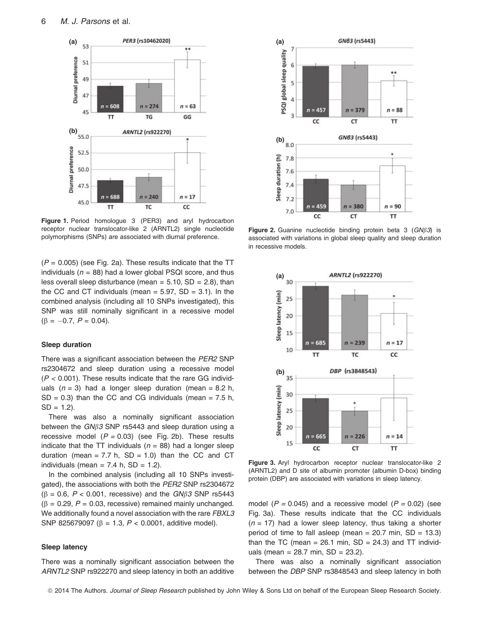

Figure 1. Period homologue 3 (PER3) and aryl hydrocarbon receptor nuclear translocator-like 2 (ARNTL2) single nucleotide polymorphisms (SNPs) are associated with diurnal preference.

 $(P = 0.005)$  (see Fig. 2a). These results indicate that the TT individuals ( $n = 88$ ) had a lower global PSQI score, and thus less overall sleep disturbance (mean  $= 5.10$ , SD  $= 2.8$ ), than the CC and CT individuals (mean  $=$  5.97, SD  $=$  3.1). In the combined analysis (including all 10 SNPs investigated), this SNP was still nominally significant in a recessive model  $(\beta = -0.7, P = 0.04).$ 

#### Sleep duration

There was a significant association between the PER2 SNP rs2304672 and sleep duration using a recessive model  $(P < 0.001)$ . These results indicate that the rare GG individuals  $(n = 3)$  had a longer sleep duration (mean = 8.2 h,  $SD = 0.3$ ) than the CC and CG individuals (mean = 7.5 h,  $SD = 1.2$ ).

There was also a nominally significant association between the  $GN\beta 3$  SNP rs5443 and sleep duration using a recessive model  $(P = 0.03)$  (see Fig. 2b). These results indicate that the TT individuals ( $n = 88$ ) had a longer sleep duration (mean =  $7.7$  h,  $SD = 1.0$ ) than the CC and CT individuals (mean =  $7.4$  h, SD = 1.2).

In the combined analysis (including all 10 SNPs investigated), the associations with both the PER2 SNP rs2304672  $(\beta = 0.6, P < 0.001,$  recessive) and the GN $\beta$ 3 SNP rs5443  $(\beta = 0.29, P = 0.03,$  recessive) remained mainly unchanged. We additionally found a novel association with the rare FBXL3 SNP 825679097 ( $\beta$  = 1.3,  $P < 0.0001$ , additive model).

#### Sleep latency

There was a nominally significant association between the ARNTL2 SNP rs922270 and sleep latency in both an additive



Figure 2. Guanine nucleotide binding protein beta 3  $(GN\beta3)$  is associated with variations in global sleep quality and sleep duration in recessive models.



Figure 3. Aryl hydrocarbon receptor nuclear translocator-like 2 (ARNTL2) and D site of albumin promoter (albumin D-box) binding protein (DBP) are associated with variations in sleep latency.

model ( $P = 0.045$ ) and a recessive model ( $P = 0.02$ ) (see Fig. 3a). These results indicate that the CC individuals  $(n = 17)$  had a lower sleep latency, thus taking a shorter period of time to fall asleep (mean =  $20.7$  min,  $SD = 13.3$ ) than the TC (mean =  $26.1$  min, SD =  $24.3$ ) and TT individuals (mean =  $28.7$  min,  $SD = 23.2$ ).

There was also a nominally significant association between the DBP SNP rs3848543 and sleep latency in both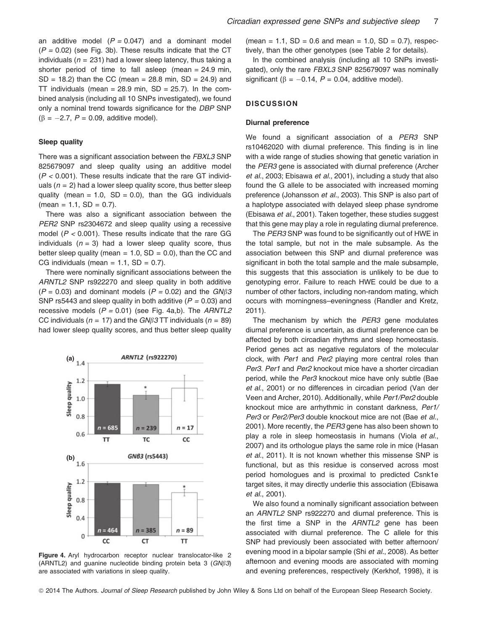an additive model  $(P = 0.047)$  and a dominant model  $(P = 0.02)$  (see Fig. 3b). These results indicate that the CT individuals ( $n = 231$ ) had a lower sleep latency, thus taking a shorter period of time to fall asleep (mean = 24.9 min,  $SD = 18.2$ ) than the CC (mean = 28.8 min,  $SD = 24.9$ ) and TT individuals (mean =  $28.9$  min, SD =  $25.7$ ). In the combined analysis (including all 10 SNPs investigated), we found only a nominal trend towards significance for the DBP SNP  $(6 = -2.7, P = 0.09,$  additive model).

#### Sleep quality

There was a significant association between the FBXL3 SNP 825679097 and sleep quality using an additive model  $(P < 0.001)$ . These results indicate that the rare GT individuals ( $n = 2$ ) had a lower sleep quality score, thus better sleep quality (mean  $= 1.0$ ,  $SD = 0.0$ ), than the GG individuals  $(mean = 1.1, SD = 0.7).$ 

There was also a significant association between the PER2 SNP rs2304672 and sleep quality using a recessive model ( $P < 0.001$ ). These results indicate that the rare GG individuals ( $n = 3$ ) had a lower sleep quality score, thus better sleep quality (mean =  $1.0$ , SD = 0.0), than the CC and CG individuals (mean =  $1.1$ , SD = 0.7).

There were nominally significant associations between the ARNTL2 SNP rs922270 and sleep quality in both additive  $(P = 0.03)$  and dominant models  $(P = 0.02)$  and the  $GN\beta3$ SNP rs5443 and sleep quality in both additive ( $P = 0.03$ ) and recessive models  $(P = 0.01)$  (see Fig. 4a,b). The ARNTL2 CC individuals ( $n = 17$ ) and the GN $\beta$ 3 TT individuals ( $n = 89$ ) had lower sleep quality scores, and thus better sleep quality



Figure 4. Aryl hydrocarbon receptor nuclear translocator-like 2 (ARNTL2) and guanine nucleotide binding protein beta 3  $(GN\beta3)$ are associated with variations in sleep quality.

 $(mean = 1.1, SD = 0.6 and mean = 1.0, SD = 0.7)$ , respectively, than the other genotypes (see Table 2 for details).

In the combined analysis (including all 10 SNPs investigated), only the rare FBXL3 SNP 825679097 was nominally significant ( $\beta = -0.14$ ,  $P = 0.04$ , additive model).

# **DISCUSSION**

#### Diurnal preference

We found a significant association of a PER3 SNP rs10462020 with diurnal preference. This finding is in line with a wide range of studies showing that genetic variation in the PER3 gene is associated with diurnal preference (Archer et al., 2003; Ebisawa et al., 2001), including a study that also found the G allele to be associated with increased morning preference (Johansson et al., 2003). This SNP is also part of a haplotype associated with delayed sleep phase syndrome (Ebisawa et al., 2001). Taken together, these studies suggest that this gene may play a role in regulating diurnal preference.

The PER3 SNP was found to be significantly out of HWE in the total sample, but not in the male subsample. As the association between this SNP and diurnal preference was significant in both the total sample and the male subsample, this suggests that this association is unlikely to be due to genotyping error. Failure to reach HWE could be due to a number of other factors, including non-random mating, which occurs with morningness–eveningness (Randler and Kretz, 2011).

The mechanism by which the PER3 gene modulates diurnal preference is uncertain, as diurnal preference can be affected by both circadian rhythms and sleep homeostasis. Period genes act as negative regulators of the molecular clock, with Per1 and Per2 playing more central roles than Per3. Per1 and Per2 knockout mice have a shorter circadian period, while the Per3 knockout mice have only subtle (Bae et al., 2001) or no differences in circadian period (Van der Veen and Archer, 2010). Additionally, while Per1/Per2 double knockout mice are arrhythmic in constant darkness, Per1/ Per3 or Per2/Per3 double knockout mice are not (Bae et al., 2001). More recently, the PER3 gene has also been shown to play a role in sleep homeostasis in humans (Viola et al., 2007) and its orthologue plays the same role in mice (Hasan et al., 2011). It is not known whether this missense SNP is functional, but as this residue is conserved across most period homologues and is proximal to predicted Csnk1e target sites, it may directly underlie this association (Ebisawa et al., 2001).

We also found a nominally significant association between an ARNTL2 SNP rs922270 and diurnal preference. This is the first time a SNP in the ARNTL2 gene has been associated with diurnal preference. The C allele for this SNP had previously been associated with better afternoon/ evening mood in a bipolar sample (Shi et al., 2008). As better afternoon and evening moods are associated with morning and evening preferences, respectively (Kerkhof, 1998), it is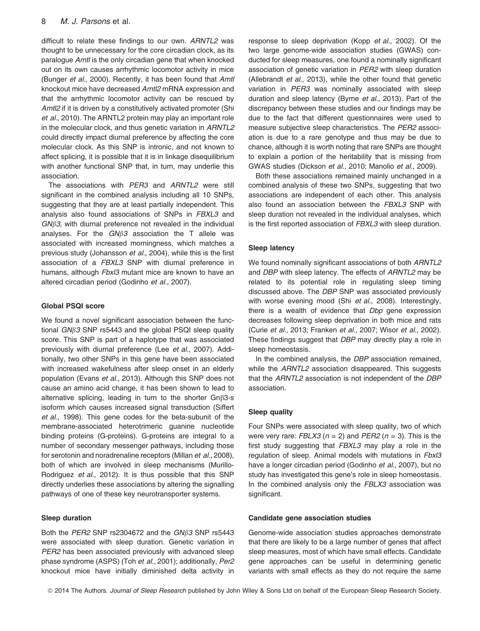difficult to relate these findings to our own. ARNTL2 was thought to be unnecessary for the core circadian clock, as its paralogue Arntl is the only circadian gene that when knocked out on its own causes arrhythmic locomotor activity in mice (Bunger et al., 2000). Recently, it has been found that Arntl knockout mice have decreased Arntl2 mRNA expression and that the arrhythmic locomotor activity can be rescued by Arntl2 if it is driven by a constitutively activated promoter (Shi et al., 2010). The ARNTL2 protein may play an important role in the molecular clock, and thus genetic variation in ARNTL2 could directly impact diurnal preference by affecting the core molecular clock. As this SNP is intronic, and not known to affect splicing, it is possible that it is in linkage disequilibrium with another functional SNP that, in turn, may underlie this association.

The associations with PER3 and ARNTL2 were still significant in the combined analysis including all 10 SNPs, suggesting that they are at least partially independent. This analysis also found associations of SNPs in FBXL3 and  $GN\beta3$ , with diurnal preference not revealed in the individual analyses. For the  $GN\beta3$  association the T allele was associated with increased morningness, which matches a previous study (Johansson et al., 2004), while this is the first association of a FBXL3 SNP with diurnal preference in humans, although Fbxl3 mutant mice are known to have an altered circadian period (Godinho et al., 2007).

#### Global PSQI score

We found a novel significant association between the functional  $GN\beta 3$  SNP rs5443 and the global PSQI sleep quality score. This SNP is part of a haplotype that was associated previously with diurnal preference (Lee et al., 2007). Additionally, two other SNPs in this gene have been associated with increased wakefulness after sleep onset in an elderly population (Evans et al., 2013). Although this SNP does not cause an amino acid change, it has been shown to lead to alternative splicing, leading in turn to the shorter Gnb3-s isoform which causes increased signal transduction (Siffert et al., 1998). This gene codes for the beta-subunit of the membrane-associated heterotrimeric guanine nucleotide binding proteins (G-proteins). G-proteins are integral to a number of secondary messenger pathways, including those for serotonin and noradrenaline receptors (Millan et al., 2008), both of which are involved in sleep mechanisms (Murillo-Rodriguez et al., 2012). It is thus possible that this SNP directly underlies these associations by altering the signalling pathways of one of these key neurotransporter systems.

# Sleep duration

Both the  $PER2$  SNP rs2304672 and the  $GN\beta$ 3 SNP rs5443 were associated with sleep duration. Genetic variation in PER2 has been associated previously with advanced sleep phase syndrome (ASPS) (Toh et al., 2001); additionally, Per2 knockout mice have initially diminished delta activity in response to sleep deprivation (Kopp et al., 2002). Of the two large genome-wide association studies (GWAS) conducted for sleep measures, one found a nominally significant association of genetic variation in PER2 with sleep duration (Allebrandt et al., 2013), while the other found that genetic variation in PER3 was nominally associated with sleep duration and sleep latency (Byrne et al., 2013). Part of the discrepancy between these studies and our findings may be due to the fact that different questionnaires were used to measure subjective sleep characteristics. The PER2 association is due to a rare genotype and thus may be due to chance, although it is worth noting that rare SNPs are thought to explain a portion of the heritability that is missing from GWAS studies (Dickson et al., 2010; Manolio et al., 2009).

Both these associations remained mainly unchanged in a combined analysis of these two SNPs, suggesting that two associations are independent of each other. This analysis also found an association between the FBXL3 SNP with sleep duration not revealed in the individual analyses, which is the first reported association of FBXL3 with sleep duration.

#### Sleep latency

We found nominally significant associations of both ARNTL2 and DBP with sleep latency. The effects of ARNTL2 may be related to its potential role in regulating sleep timing discussed above. The DBP SNP was associated previously with worse evening mood (Shi et al., 2008). Interestingly, there is a wealth of evidence that Dbp gene expression decreases following sleep deprivation in both mice and rats (Curie et al., 2013; Franken et al., 2007; Wisor et al., 2002). These findings suggest that DBP may directly play a role in sleep homeostasis.

In the combined analysis, the DBP association remained, while the ARNTL2 association disappeared. This suggests that the ARNTL2 association is not independent of the DBP association.

# Sleep quality

Four SNPs were associated with sleep quality, two of which were very rare: FBLX3 ( $n = 2$ ) and PER2 ( $n = 3$ ). This is the first study suggesting that FBXL3 may play a role in the regulation of sleep. Animal models with mutations in Fbxl3 have a longer circadian period (Godinho et al., 2007), but no study has investigated this gene's role in sleep homeostasis. In the combined analysis only the FBLX3 association was significant.

#### Candidate gene association studies

Genome-wide association studies approaches demonstrate that there are likely to be a large number of genes that affect sleep measures, most of which have small effects. Candidate gene approaches can be useful in determining genetic variants with small effects as they do not require the same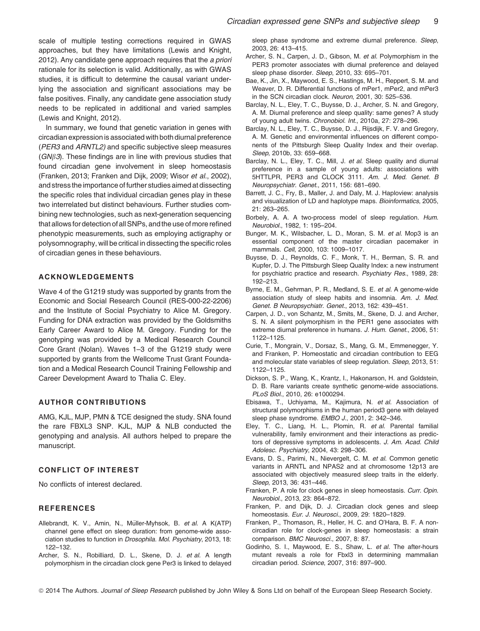In summary, we found that genetic variation in genes with circadian expression is associated with both diurnal preference (PER3 and ARNTL2) and specific subjective sleep measures  $(GN\beta3)$ . These findings are in line with previous studies that found circadian gene involvement in sleep homeostasis (Franken, 2013; Franken and Dijk, 2009; Wisor et al., 2002), and stress the importance of further studies aimed at dissecting the specific roles that individual circadian genes play in these two interrelated but distinct behaviours. Further studies combining new technologies, such as next-generation sequencing that allows for detection of all SNPs, and the use of more refined phenotypic measurements, such as employing actigraphy or polysomnography, will be critical in dissecting the specific roles of circadian genes in these behaviours.

# ACKNOWLEDGEMENTS

Wave 4 of the G1219 study was supported by grants from the Economic and Social Research Council (RES-000-22-2206) and the Institute of Social Psychiatry to Alice M. Gregory. Funding for DNA extraction was provided by the Goldsmiths Early Career Award to Alice M. Gregory. Funding for the genotyping was provided by a Medical Research Council Core Grant (Nolan). Waves 1–3 of the G1219 study were supported by grants from the Wellcome Trust Grant Foundation and a Medical Research Council Training Fellowship and Career Development Award to Thalia C. Eley.

# AUTHOR CONTRIBUTIONS

AMG, KJL, MJP, PMN & TCE designed the study. SNA found the rare FBXL3 SNP. KJL, MJP & NLB conducted the genotyping and analysis. All authors helped to prepare the manuscript.

# CONFLICT OF INTEREST

No conflicts of interest declared.

# **REFERENCES**

- Allebrandt, K. V., Amin, N., Müller-Myhsok, B. et al. A K(ATP) channel gene effect on sleep duration: from genome-wide association studies to function in Drosophila. Mol. Psychiatry, 2013, 18: 122–132.
- Archer, S. N., Robilliard, D. L., Skene, D. J. et al. A length polymorphism in the circadian clock gene Per3 is linked to delayed

sleep phase syndrome and extreme diurnal preference. Sleep, 2003, 26: 413–415.

- Archer, S. N., Carpen, J. D., Gibson, M. et al. Polymorphism in the PER3 promoter associates with diurnal preference and delayed sleep phase disorder. Sleep, 2010, 33: 695–701.
- Bae, K., Jin, X., Maywood, E. S., Hastings, M. H., Reppert, S. M. and Weaver, D. R. Differential functions of mPer1, mPer2, and mPer3 in the SCN circadian clock. Neuron, 2001, 30: 525–536.
- Barclay, N. L., Eley, T. C., Buysse, D. J., Archer, S. N. and Gregory, A. M. Diurnal preference and sleep quality: same genes? A study of young adult twins. Chronobiol. Int., 2010a, 27: 278–296.
- Barclay, N. L., Eley, T. C., Buysse, D. J., Rijsdijk, F. V. and Gregory, A. M. Genetic and environmental influences on different components of the Pittsburgh Sleep Quality Index and their overlap. Sleep, 2010b, 33: 659–668.
- Barclay, N. L., Eley, T. C., Mill, J. et al. Sleep quality and diurnal preference in a sample of young adults: associations with 5HTTLPR, PER3 and CLOCK 3111. Am. J. Med. Genet. B Neuropsychiatr. Genet., 2011, 156: 681–690.
- Barrett, J. C., Fry, B., Maller, J. and Daly, M. J. Haploview: analysis and visualization of LD and haplotype maps. Bioinformatics, 2005, 21: 263–265.
- Borbely, A. A. A two-process model of sleep regulation. Hum. Neurobiol., 1982, 1: 195–204.
- Bunger, M. K., Wilsbacher, L. D., Moran, S. M. et al. Mop3 is an essential component of the master circadian pacemaker in mammals. Cell, 2000, 103: 1009–1017.
- Buysse, D. J., Reynolds, C. F., Monk, T. H., Berman, S. R. and Kupfer, D. J. The Pittsburgh Sleep Quality Index: a new instrument for psychiatric practice and research. Psychiatry Res., 1989, 28: 192–213.
- Byrne, E. M., Gehrman, P. R., Medland, S. E. et al. A genome-wide association study of sleep habits and insomnia. Am. J. Med. Genet. B Neuropsychiatr. Genet., 2013, 162: 439–451.
- Carpen, J. D., von Schantz, M., Smits, M., Skene, D. J. and Archer, S. N. A silent polymorphism in the PER1 gene associates with extreme diurnal preference in humans. J. Hum. Genet., 2006, 51: 1122–1125.
- Curie, T., Mongrain, V., Dorsaz, S., Mang, G. M., Emmenegger, Y. and Franken, P. Homeostatic and circadian contribution to EEG and molecular state variables of sleep regulation. Sleep, 2013, 51: 1122–1125.
- Dickson, S. P., Wang, K., Krantz, I., Hakonarson, H. and Goldstein, D. B. Rare variants create synthetic genome-wide associations. PLoS Biol., 2010, 26: e1000294.
- Ebisawa, T., Uchiyama, M., Kajimura, N. et al. Association of structural polymorphisms in the human period3 gene with delayed sleep phase syndrome. EMBO J., 2001, 2: 342–346.
- Eley, T. C., Liang, H. L., Plomin, R. et al. Parental familial vulnerability, family environment and their interactions as predictors of depressive symptoms in adolescents. J. Am. Acad. Child Adolesc. Psychiatry, 2004, 43: 298–306.
- Evans, D. S., Parimi, N., Nievergelt, C. M. et al. Common genetic variants in ARNTL and NPAS2 and at chromosome 12p13 are associated with objectively measured sleep traits in the elderly. Sleep, 2013, 36: 431–446.
- Franken, P. A role for clock genes in sleep homeostasis. Curr. Opin. Neurobiol., 2013, 23: 864–872.
- Franken, P. and Dijk, D. J. Circadian clock genes and sleep homeostasis. Eur. J. Neurosci., 2009, 29: 1820–1829.
- Franken, P., Thomason, R., Heller, H. C. and O'Hara, B. F. A noncircadian role for clock-genes in sleep homeostasis: a strain comparison. BMC Neurosci., 2007, 8: 87.
- Godinho, S. I., Maywood, E. S., Shaw, L. et al. The after-hours mutant reveals a role for Fbxl3 in determining mammalian circadian period. Science, 2007, 316: 897–900.